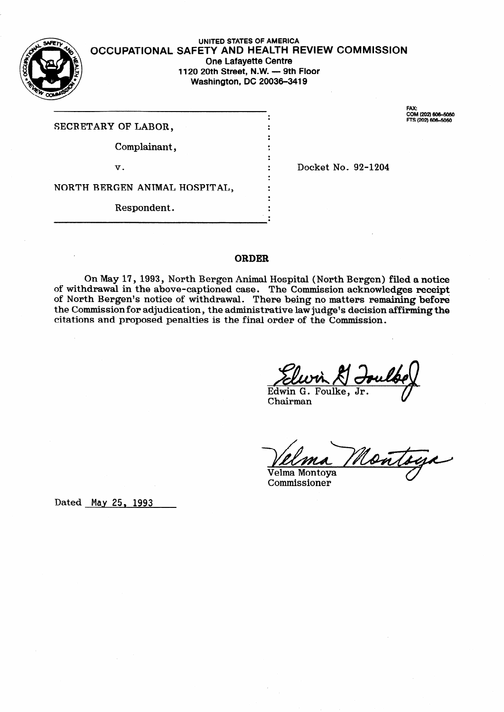

### **OCCUPATIONAL-SAFETY AND HEALTH REVIEW COMMISSION UNITED STATES OF AMERICA One Lafayette Centre 1120 20th Street, N.W. - 9th Floor Washington, DC 20036-3419**

.  $\bullet$ .<br>. . .<br>: .<br>. .  $\cdot$ .  $\bullet$ . ; . . . .

 $\bullet$ .

SECRETARY OF LABOR,

Complainant,

V.

Docket No. 92-1204

NORTH BERGEN ANIMAL HOSPITAL,

Respondent.

### ORDER

On May 17) 1993, North Bergen Animal Hospital (North Bergen) filed **a notice**  of withdrawal in the above-captioned case. The Commission acknowledges receipt of North Bergen's notice of withdrawal. There being no matters remaining befor the Commission for adjudication, the administrative law judge's decision affirming the citations and proposed penalties is the final order of the Commission.

Elwin & Edwin G. Foulke,

Chairman *V* 

Nontaga Velma Montoya

Commissioner

Dated **May 25,** 1993

FAY-COM (202) 606-5050 TS (202) 606-5050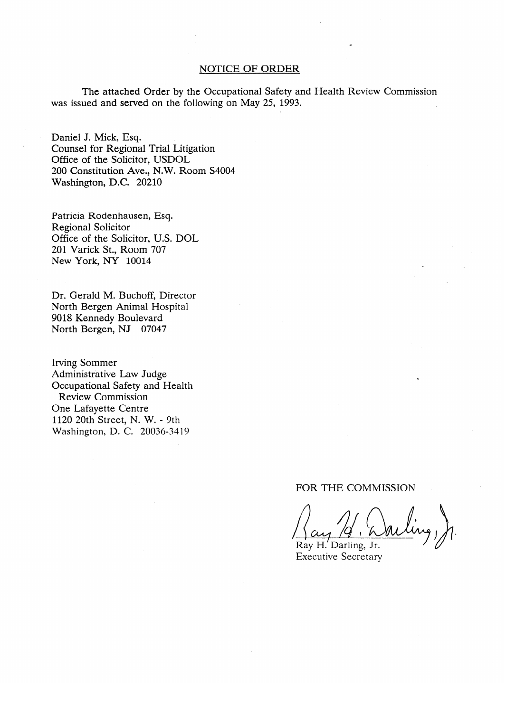#### NOTICE OF ORDER

The attached Order by the Occupational Safety and Health Review Commission was issued and served on the following on May 25, 1993.

Daniel J. Mick, Esq. Office of the Solicitor, USDOL 200 Constitution Ave., N.W. Room S4004 Washington, D.C. 20210

Patricia Rodenhausen, Esq. Regional Solicitor Office of the Solicitor, U.S. DOL 201 Varick St., Room 707 New York, NY 10014

Washington, D.C. 2021

Dr. Gerald M. Buchoff, Director North Bergen Animal Hospital 9018 Kennedy Boulevard North Bergen, NJ 07047

**Irving Sommer** Administrative Law Judge<br>Occupational Safety and Health Review Commission One Lafavette Centre 1120 20th Street, N. W. - 9th Washington, D. C. 20036-3419  $1120$   $1120$   $1120$ 

# FOR THE COMMISSION

 $\bigcap_{\alpha\in\mathcal{C}}$ 

Ray H. Darling, Jr. **Executive Secretary**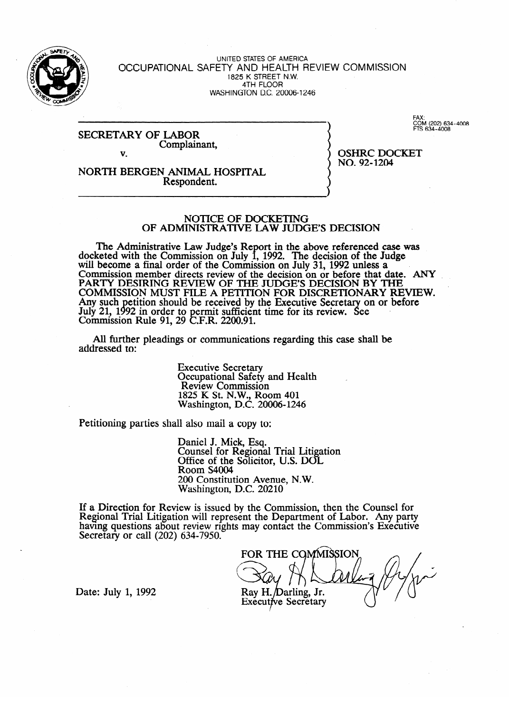

UNITED STATES OF AMERICA OCCUPATIONAL SAFETY AND HEALTH REVIEW COMMISSION  $1825$  K STREET N.W. 4TH FLOOR WASHINGTON DC. 20006-I 246

SECRETARY OF LABOR Complainant, v.

**COM** (202) 634-40<br>FTS 634-4008

NORTH BERGEN ANIMAL HOSPITAL Respondent.

OSHRC DOCKET NO. 92-1204

# INISTRATIVE I AW ILID OF ADMINISTRATIVE LAW JUDGE'S DECISION .

The Administrative Law Judge's Report in the above referenced case was docketed with the Commission on July 1, 1992. The decision of the Judge  $\frac{1}{2}$  will become a final order of the Commission on July 31 1992 unless a will become a final order of the Commission on  $\log 31$ ,  $1992$  unless a ... PARTY DESIRING REVIEW OF THE JUDGE'S DECISION BY THE COMMISSION MUST FILE A PETITION FOR DISCRETIONARY REVIEW. Any such petition should be received by the Executive Secretary on or before July 21. 1  $Commission$  Rule  $91, 29$ etition should be received by the Executive Secretion.  $E$ R. 2200.91. Y! on or before ee . Commission Rule 91, 29 on RW 2200.91.

All further pleadings or communications regarding this case shall be addressed to:

**Executive Secretary<br>Occupational Safety and Health** Review Commission 1825 K St. N.W., Ro Washington, D.C. 20006-124 Washington, D.C. 20006-1246

Petitioning parties shall also mail a copy to:

Counsel for Regional Trial Litigation Office of the Solicitor, U.S. DOL Room S4004 200 Constitution Avenue, N.W. Washington, D.C. 20210

If a Direction for Review is issued by the Commission, then the Counsel for Regional Trial Litigation will represent the Department of Labor. Any party having questions about review rights may contact the Commission's Executive Secretary or call  $(202)$  634-7950.

FOR THE COMMISSION Ray H. Darling, Jr. **Executive Secretary** 

Date: July 1, 1992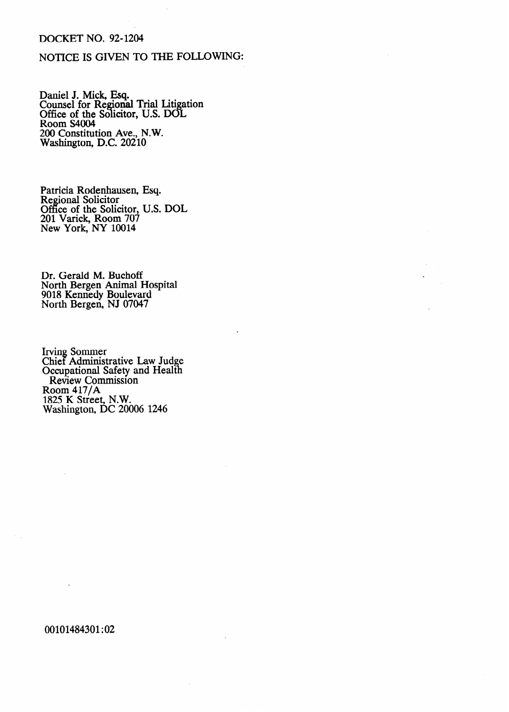# DOCKET NO. 92-1204

### NOTICE IS GIVEN TO THE FOLLOWING:

Daniel J. Mick, Esq. Counsel for Regional Trial Liti  $\mathbf{p}$ ation Office of the Solicitor, U.S. DOI Room S4004 200 Constitution Ave., N.W. Washington, D.C. 20210

Patricia Rodenhausen, Esq. Regional Solicitor Office of the Solicitor, U.S. DOL 201 Varick, Room 707 New York, NY 10014

Dr. Gerald M. Buchoff North Bergen Animal Hospital 9018 Kennedy Boulevard .North Bergen, NJ 07047

Irving Sommer Chief Administrative Law Judge Occupational Safety and Health Review Commission Room 417/A 1825 K Street, N.W. Washington, DC 20006 1246

00101484301:02

b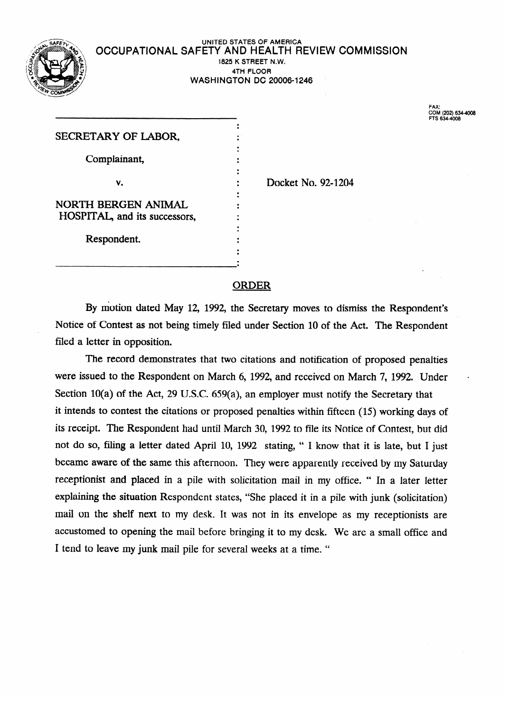

#### UNITED STATES OF AMERICA<br>FTV AND LIFAT TIL DEVIEW COMMICOIO  $\sqrt{ }$  OCCUPATIONAL SAFETY AND HEALTH REVIEW COMMISSION 1825 K STREET N.W. **4TH FLOOR**  WASHINGTON DC 20006-1246

| SECRETARY OF LABOR,           |                    |
|-------------------------------|--------------------|
| Complainant,                  |                    |
|                               |                    |
| v.                            | Docket No. 92-1204 |
| NORTH BERGEN ANIMAL           |                    |
| HOSPITAL, and its successors, |                    |
|                               |                    |
| Respondent.                   |                    |
|                               |                    |
|                               |                    |

FAX: COM (202) 6344006 FTS 634-4006

# ORDER

By motion dated May 12, 1992, the Secretary moves to dismiss the Respondent's Notice of Contest as not being timely filed under Section 10 of the Act. The Respondent Notice of Contest as not being timely filed under Section 10 of the Act. The Respondent

The record demonstrates that two citations and notification of proposed penalties were issued to the Respondent on March 6, 1992, and received on March 7, 1992. Under Section 10(a) of the Act, 29 U.S.C. 659(a), an employer must notify the Secretary that it intends to contest the citations or proposed penalties within fifteen  $(15)$  working days of its receipt. The Respondent had until March 30, 1992 to file its Notice of Contest, but did not do so, filing a letter dated April 10, 1992 stating, "I know that it is late, but I just became aware of the same this afternoon. They were apparently received by my Saturday receptionist and placed in a pile with solicitation mail in my office. " In a later letter explaining the situation Respondent states, "She placed it in a pile with junk (solicitation) mail on the shelf next to my desk. It was not in its envelope as my receptionists are accustomed to opening the mail before bringing it to my desk. We are a small office and I tend to leave my junk mail pile for several weeks at a time. "